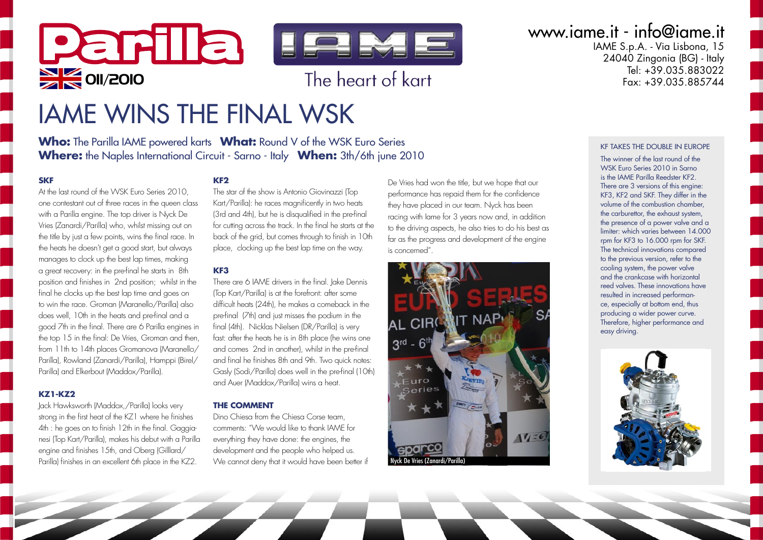

# IAME WINS THE FINAL WSK

**Who:** The Parilla IAME powered karts **What:** Round V of the WSK Euro Series **Where:** the Naples International Circuit - Sarno - Italy **When:** 3th/6th june 2010

#### **SKF**

At the last round of the WSK Euro Series 2010, one contestant out of three races in the queen class with a Parilla engine. The top driver is Nyck De Vries (Zanardi/Parilla) who, whilst missing out on the title by just a few points, wins the final race. In the heats he doesn't get a good start, but always manages to clock up the best lap times, making a great recovery: in the pre-final he starts in 8th position and finishes in 2nd position; whilst in the final he clocks up the best lap time and goes on to win the race. Groman (Maranello/Parilla) also does well, 10th in the heats and pre-final and a good 7th in the final. There are 6 Parilla engines in the top 15 in the final: De Vries, Groman and then, from 11th to 14th places Gromanova (Maranello/ Parilla), Rowland (Zanardi/Parilla), Hamppi (Birel/ Parilla) and Elkerbout (Maddox/Parilla).

#### **KZ1-KZ2**

Jack Hawksworth (Maddox,/Parilla) looks very strong in the first heat of the KZ1 where he finishes 4th : he goes on to finish 12th in the final. Gaggianesi (Top Kart/Parilla), makes his debut with a Parilla engine and finishes 15th, and Oberg (Gilllard/ Parilla) finishes in an excellent 6th place in the KZ2.

### **KF2**

The star of the show is Antonio Giovinazzi (Top Kart/Parilla): he races magnificently in two heats (3rd and 4th), but he is disqualified in the pre-final for cutting across the track. In the final he starts at the back of the grid, but comes through to finish in 10th place, clocking up the best lap time on the way.

#### **KF3**

There are 6 IAME drivers in the final. Iake Dennis (Top Kart/Parilla) is at the forefront: after some difficult heats (24th), he makes a comeback in the pre-final (7th) and just misses the podium in the final (4th). Nicklas Nielsen (DR/Parilla) is very fast: after the heats he is in 8th place (he wins one and comes 2nd in another), whilst in the pre-final and final he finishes 8th and 9th. Two quick notes: Gasly (Sodi/Parilla) does well in the pre-final (10th) and Auer (Maddox/Parilla) wins a heat.

#### **THE COMMENT**

Dino Chiesa from the Chiesa Corse team, comments: "We would like to thank IAME for everything they have done: the engines, the development and the people who helped us. We cannot deny that it would have been better if De Vries had won the title, but we hope that our performance has repaid them for the confidence they have placed in our team. Nyck has been racing with Iame for 3 years now and, in addition to the driving aspects, he also tries to do his best as far as the progress and development of the engine is concerned".



### www.iame.it - info@iame.it

IAME S.p.A. - Via Lisbona, 15  $24040$  Zingonia (BG) - Italy Tel: +39.035.883022<br>Fax: +39.035.885744

#### KF TAKES THE DOUBLE IN EUROPE

The winner of the last round of the WSK Euro Series 2010 in Sarno is the IAME Parilla Reedster KF2. There are 3 versions of this engine: KF3, KF2 and SKF. They differ in the volume of the combustion chamber, the carburettor, the exhaust system, the presence of a power valve and a limiter: which varies between 14.000 rpm for KF3 to 16.000 rpm for SKF. The technical innovations compared to the previous version, refer to the cooling system, the power valve and the crankcase with horizontal reed valves. These innovations have resulted in increased performance, especially at bottom end, thus producing a wider power curve. Therefore, higher performance and easy driving.

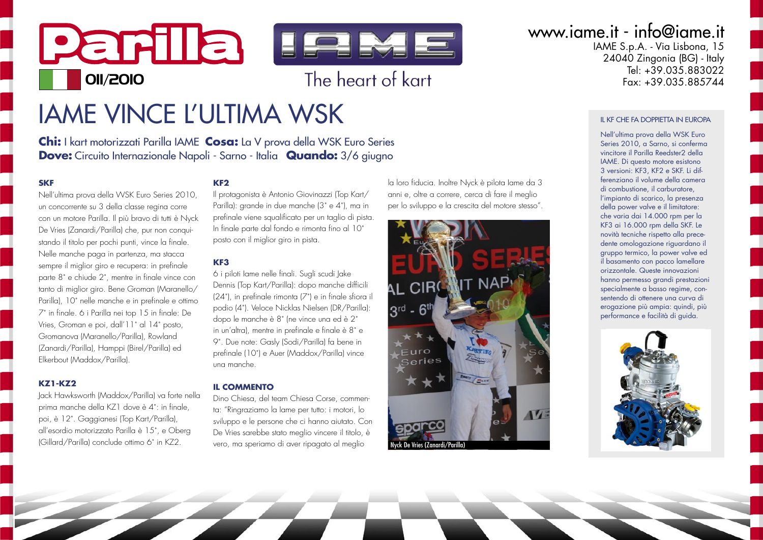

# **IAME VINCE L'ULTIMA WSK**

Chi: I kart motorizzati Parilla IAME Cosa: La V prova della WSK Euro Series **Dove:** Circuito Internazionale Napoli - Sarno - Italia Quando: 3/6 giugno

#### **SKF**

Nell'ultima prova della WSK Euro Series 2010, un concorrente su 3 della classe regina correcon un motore Parilla. Il più bravo di tutti è Nyck De Vries (Zanardi/Parilla) che, pur non conquistando il titolo per pochi punti, vince la finale. Nelle manche paga in partenza, ma stacca sempre il miglior giro e recupera: in prefinale parte 8° e chiude 2°, mentre in finale vince con tanto di miglior giro. Bene Groman (Maranello/ Parilla). 10° nelle manche e in prefinale e ottimo 7° in finale. 6 i Parilla nei top 15 in finale: De Vries, Groman e poi, dall'11° al 14° posto, Gromanova (Maranello/Parilla), Rowland (Zanardi/Parilla), Hamppi (Birel/Parilla) ed Elkerbout (Maddox/Parilla).

#### **K71-K72**

Jack Hawksworth (Maddox/Parilla) va forte nella prima manche della KZ1 dove è 4°: in finale, poi, è 12°. Gaggianesi (Top Kart/Parilla), all'esordio motorizzato Parilla è 15°, e Oberg (Gillard/Parilla) conclude ottimo 6° in K72.

#### KF<sub>2</sub>

Il protagonista è Antonio Giovinazzi (Top Kart/ Parilla): grande in due manche (3° e 4°), ma in prefinale viene saualificato per un taglio di pista. In finale parte dal fondo e rimonta fino al 10° posto con il miglior giro in pista.

#### KF<sub>3</sub>

6 i piloti lame nelle finali. Sugli scudi Jake Dennis (Top Kart/Parilla): dopo manche difficili  $(24^{\circ})$ , in prefinale rimonta  $(7^{\circ})$  e in finale sfiora il podio (4°). Veloce Nicklas Nielsen (DR/Parilla): dopo le manche è 8° (ne vince una ed è 2° in un'altra), mentre in prefinale e finale è 8° e 9°. Due note: Gasly (Sodi/Parilla) fa bene in prefinale (10°) e Auer (Maddox/Parilla) vince una manche

#### **IL COMMENTO**

Dino Chiesa del team Chiesa Corse commenta: "Ringraziamo la lame per tutto: i motori, lo sviluppo e le persone che ci hanno aiutato. Con De Vries sarebbe stato meglio vincere il titolo, è vero, ma speriamo di aver ripagato al meglio

la loro fiducia. Inoltre Nyck è pilota lame da 3 anni e, oltre a correre, cerca di fare il meglio per lo sviluppo e la crescita del motore stesso".



www.iame.it - info@iame.it

IAME S.p.A. - Via Lisbona, 15 24040 Zingonia (BG) - Italy Tel: +39.035.883022  $F_{px}$  +39 035 885744

#### II KE CHE FA DOPPIETTA IN FUROPA

Nell'ultima prova della WSK Euro Series 2010, a Sarno, si conferma vincitore il Parilla Reedster2 della IAME. Di questo motore esistono 3 versioni: KF3, KF2 e SKF, Li differenziano il volume della camera di combustione, il carburatore, l'impianto di scarico, la presenza della power valve e il limitatore: che varia dai 14.000 rpm per la KF3 ai 16.000 rpm della SKF. Le novità tecniche rispetto alla precedente omologazione riguardano il gruppo termico, la power valve ed il basamento con pacco lamellare orizzontale. Queste innovazioni hanno permesso grandi prestazioni specialmente a basso regime, consentendo di ottenere una curva di erogazione più ampia: quindi, più performance e facilità di avida.